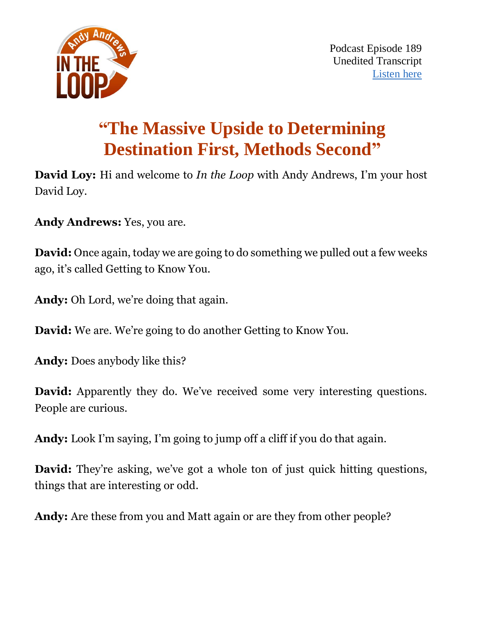

# **"The Massive Upside to Determining Destination First, Methods Second"**

**David Loy:** Hi and welcome to *In the Loop* with Andy Andrews, I'm your host David Loy.

**Andy Andrews:** Yes, you are.

**David:** Once again, today we are going to do something we pulled out a few weeks ago, it's called Getting to Know You.

**Andy:** Oh Lord, we're doing that again.

**David:** We are. We're going to do another Getting to Know You.

**Andy:** Does anybody like this?

**David:** Apparently they do. We've received some very interesting questions. People are curious.

**Andy:** Look I'm saying, I'm going to jump off a cliff if you do that again.

**David:** They're asking, we've got a whole ton of just quick hitting questions, things that are interesting or odd.

**Andy:** Are these from you and Matt again or are they from other people?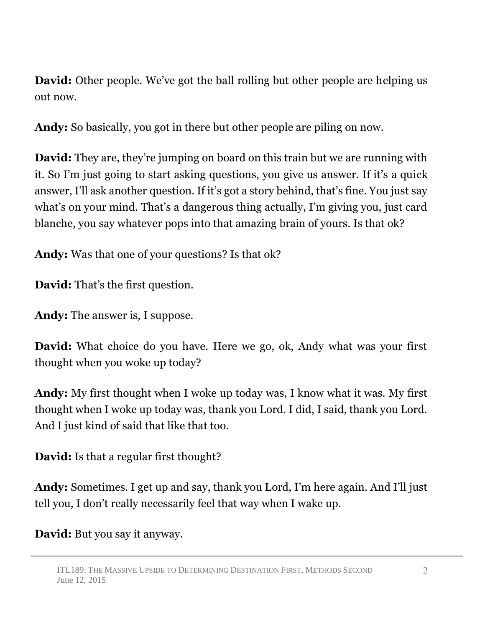**David:** Other people. We've got the ball rolling but other people are helping us out now.

**Andy:** So basically, you got in there but other people are piling on now.

**David:** They are, they're jumping on board on this train but we are running with it. So I'm just going to start asking questions, you give us answer. If it's a quick answer, I'll ask another question. If it's got a story behind, that's fine. You just say what's on your mind. That's a dangerous thing actually, I'm giving you, just card blanche, you say whatever pops into that amazing brain of yours. Is that ok?

**Andy:** Was that one of your questions? Is that ok?

**David:** That's the first question.

**Andy:** The answer is, I suppose.

**David:** What choice do you have. Here we go, ok, Andy what was your first thought when you woke up today?

**Andy:** My first thought when I woke up today was, I know what it was. My first thought when I woke up today was, thank you Lord. I did, I said, thank you Lord. And I just kind of said that like that too.

**David:** Is that a regular first thought?

**Andy:** Sometimes. I get up and say, thank you Lord, I'm here again. And I'll just tell you, I don't really necessarily feel that way when I wake up.

**David:** But you say it anyway.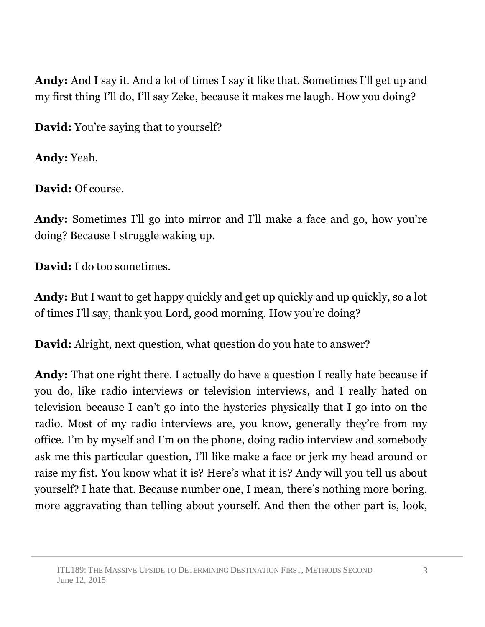**Andy:** And I say it. And a lot of times I say it like that. Sometimes I'll get up and my first thing I'll do, I'll say Zeke, because it makes me laugh. How you doing?

**David:** You're saying that to yourself?

**Andy:** Yeah.

**David:** Of course.

**Andy:** Sometimes I'll go into mirror and I'll make a face and go, how you're doing? Because I struggle waking up.

**David:** I do too sometimes.

**Andy:** But I want to get happy quickly and get up quickly and up quickly, so a lot of times I'll say, thank you Lord, good morning. How you're doing?

**David:** Alright, next question, what question do you hate to answer?

**Andy:** That one right there. I actually do have a question I really hate because if you do, like radio interviews or television interviews, and I really hated on television because I can't go into the hysterics physically that I go into on the radio. Most of my radio interviews are, you know, generally they're from my office. I'm by myself and I'm on the phone, doing radio interview and somebody ask me this particular question, I'll like make a face or jerk my head around or raise my fist. You know what it is? Here's what it is? Andy will you tell us about yourself? I hate that. Because number one, I mean, there's nothing more boring, more aggravating than telling about yourself. And then the other part is, look,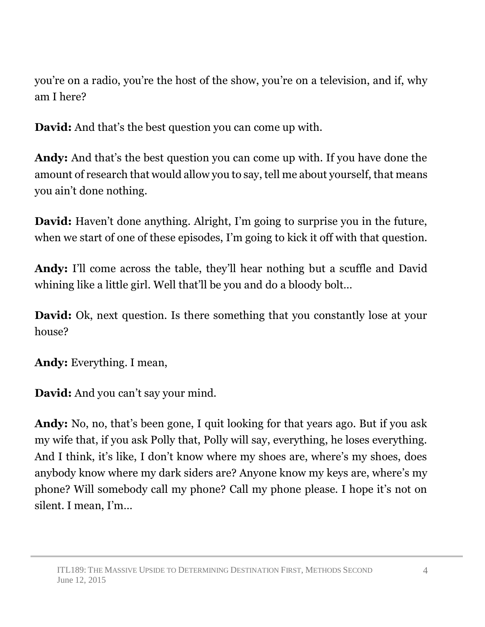you're on a radio, you're the host of the show, you're on a television, and if, why am I here?

**David:** And that's the best question you can come up with.

**Andy:** And that's the best question you can come up with. If you have done the amount of research that would allow you to say, tell me about yourself, that means you ain't done nothing.

**David:** Haven't done anything. Alright, I'm going to surprise you in the future, when we start of one of these episodes, I'm going to kick it off with that question.

**Andy:** I'll come across the table, they'll hear nothing but a scuffle and David whining like a little girl. Well that'll be you and do a bloody bolt…

**David:** Ok, next question. Is there something that you constantly lose at your house?

**Andy:** Everything. I mean,

**David:** And you can't say your mind.

**Andy:** No, no, that's been gone, I quit looking for that years ago. But if you ask my wife that, if you ask Polly that, Polly will say, everything, he loses everything. And I think, it's like, I don't know where my shoes are, where's my shoes, does anybody know where my dark siders are? Anyone know my keys are, where's my phone? Will somebody call my phone? Call my phone please. I hope it's not on silent. I mean, I'm…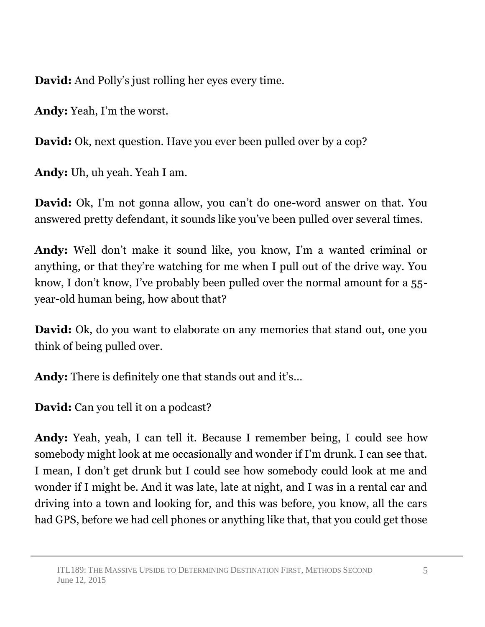**David:** And Polly's just rolling her eyes every time.

**Andy:** Yeah, I'm the worst.

**David:** Ok, next question. Have you ever been pulled over by a cop?

**Andy:** Uh, uh yeah. Yeah I am.

**David:** Ok, I'm not gonna allow, you can't do one-word answer on that. You answered pretty defendant, it sounds like you've been pulled over several times.

**Andy:** Well don't make it sound like, you know, I'm a wanted criminal or anything, or that they're watching for me when I pull out of the drive way. You know, I don't know, I've probably been pulled over the normal amount for a 55 year-old human being, how about that?

**David:** Ok, do you want to elaborate on any memories that stand out, one you think of being pulled over.

**Andy:** There is definitely one that stands out and it's…

**David:** Can you tell it on a podcast?

**Andy:** Yeah, yeah, I can tell it. Because I remember being, I could see how somebody might look at me occasionally and wonder if I'm drunk. I can see that. I mean, I don't get drunk but I could see how somebody could look at me and wonder if I might be. And it was late, late at night, and I was in a rental car and driving into a town and looking for, and this was before, you know, all the cars had GPS, before we had cell phones or anything like that, that you could get those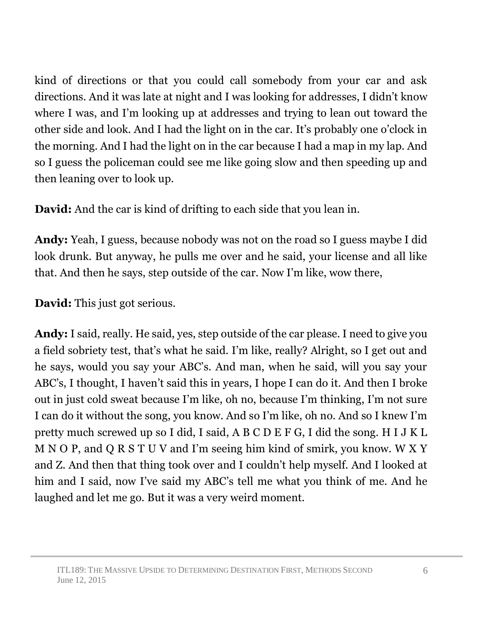kind of directions or that you could call somebody from your car and ask directions. And it was late at night and I was looking for addresses, I didn't know where I was, and I'm looking up at addresses and trying to lean out toward the other side and look. And I had the light on in the car. It's probably one o'clock in the morning. And I had the light on in the car because I had a map in my lap. And so I guess the policeman could see me like going slow and then speeding up and then leaning over to look up.

**David:** And the car is kind of drifting to each side that you lean in.

**Andy:** Yeah, I guess, because nobody was not on the road so I guess maybe I did look drunk. But anyway, he pulls me over and he said, your license and all like that. And then he says, step outside of the car. Now I'm like, wow there,

**David:** This just got serious.

**Andy:** I said, really. He said, yes, step outside of the car please. I need to give you a field sobriety test, that's what he said. I'm like, really? Alright, so I get out and he says, would you say your ABC's. And man, when he said, will you say your ABC's, I thought, I haven't said this in years, I hope I can do it. And then I broke out in just cold sweat because I'm like, oh no, because I'm thinking, I'm not sure I can do it without the song, you know. And so I'm like, oh no. And so I knew I'm pretty much screwed up so I did, I said, A B C D E F G, I did the song. H I J K L M N O P, and Q R S T U V and I'm seeing him kind of smirk, you know. W X Y and Z. And then that thing took over and I couldn't help myself. And I looked at him and I said, now I've said my ABC's tell me what you think of me. And he laughed and let me go. But it was a very weird moment.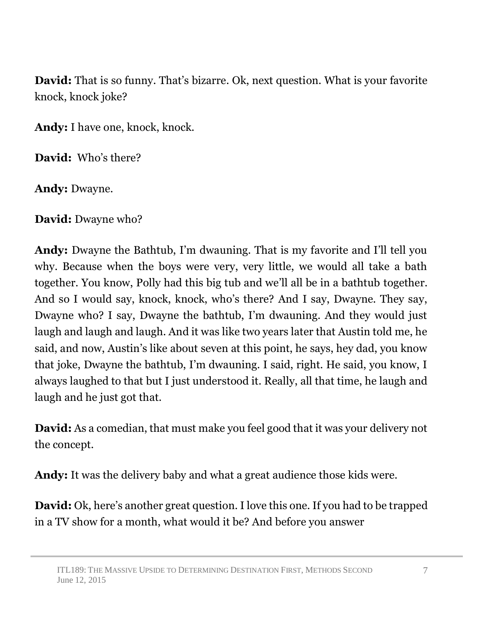**David:** That is so funny. That's bizarre. Ok, next question. What is your favorite knock, knock joke?

**Andy:** I have one, knock, knock.

**David:** Who's there?

**Andy:** Dwayne.

**David:** Dwayne who?

**Andy:** Dwayne the Bathtub, I'm dwauning. That is my favorite and I'll tell you why. Because when the boys were very, very little, we would all take a bath together. You know, Polly had this big tub and we'll all be in a bathtub together. And so I would say, knock, knock, who's there? And I say, Dwayne. They say, Dwayne who? I say, Dwayne the bathtub, I'm dwauning. And they would just laugh and laugh and laugh. And it was like two years later that Austin told me, he said, and now, Austin's like about seven at this point, he says, hey dad, you know that joke, Dwayne the bathtub, I'm dwauning. I said, right. He said, you know, I always laughed to that but I just understood it. Really, all that time, he laugh and laugh and he just got that.

**David:** As a comedian, that must make you feel good that it was your delivery not the concept.

**Andy:** It was the delivery baby and what a great audience those kids were.

**David:** Ok, here's another great question. I love this one. If you had to be trapped in a TV show for a month, what would it be? And before you answer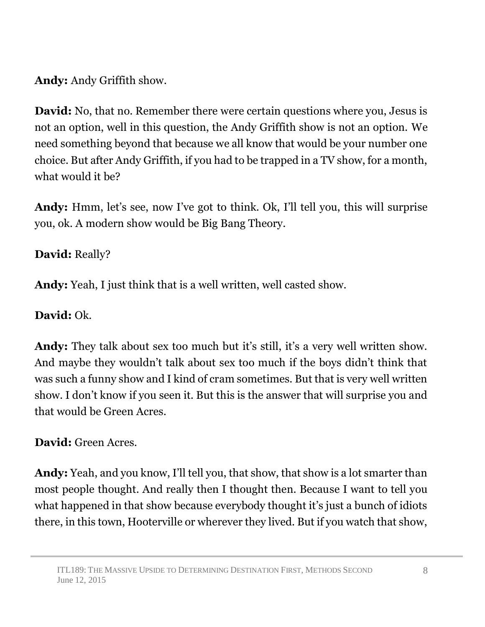**Andy:** Andy Griffith show.

**David:** No, that no. Remember there were certain questions where you, Jesus is not an option, well in this question, the Andy Griffith show is not an option. We need something beyond that because we all know that would be your number one choice. But after Andy Griffith, if you had to be trapped in a TV show, for a month, what would it be?

**Andy:** Hmm, let's see, now I've got to think. Ok, I'll tell you, this will surprise you, ok. A modern show would be Big Bang Theory.

# **David:** Really?

**Andy:** Yeah, I just think that is a well written, well casted show.

## **David:** Ok.

**Andy:** They talk about sex too much but it's still, it's a very well written show. And maybe they wouldn't talk about sex too much if the boys didn't think that was such a funny show and I kind of cram sometimes. But that is very well written show. I don't know if you seen it. But this is the answer that will surprise you and that would be Green Acres.

# **David:** Green Acres.

**Andy:** Yeah, and you know, I'll tell you, that show, that show is a lot smarter than most people thought. And really then I thought then. Because I want to tell you what happened in that show because everybody thought it's just a bunch of idiots there, in this town, Hooterville or wherever they lived. But if you watch that show,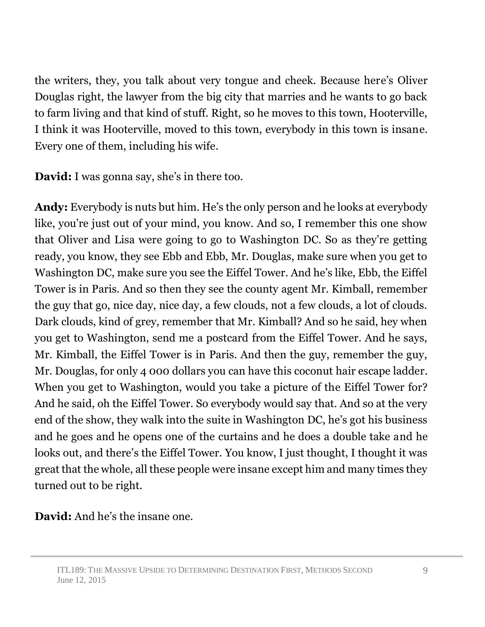the writers, they, you talk about very tongue and cheek. Because here's Oliver Douglas right, the lawyer from the big city that marries and he wants to go back to farm living and that kind of stuff. Right, so he moves to this town, Hooterville, I think it was Hooterville, moved to this town, everybody in this town is insane. Every one of them, including his wife.

**David:** I was gonna say, she's in there too.

**Andy:** Everybody is nuts but him. He's the only person and he looks at everybody like, you're just out of your mind, you know. And so, I remember this one show that Oliver and Lisa were going to go to Washington DC. So as they're getting ready, you know, they see Ebb and Ebb, Mr. Douglas, make sure when you get to Washington DC, make sure you see the Eiffel Tower. And he's like, Ebb, the Eiffel Tower is in Paris. And so then they see the county agent Mr. Kimball, remember the guy that go, nice day, nice day, a few clouds, not a few clouds, a lot of clouds. Dark clouds, kind of grey, remember that Mr. Kimball? And so he said, hey when you get to Washington, send me a postcard from the Eiffel Tower. And he says, Mr. Kimball, the Eiffel Tower is in Paris. And then the guy, remember the guy, Mr. Douglas, for only 4 000 dollars you can have this coconut hair escape ladder. When you get to Washington, would you take a picture of the Eiffel Tower for? And he said, oh the Eiffel Tower. So everybody would say that. And so at the very end of the show, they walk into the suite in Washington DC, he's got his business and he goes and he opens one of the curtains and he does a double take and he looks out, and there's the Eiffel Tower. You know, I just thought, I thought it was great that the whole, all these people were insane except him and many times they turned out to be right.

**David:** And he's the insane one.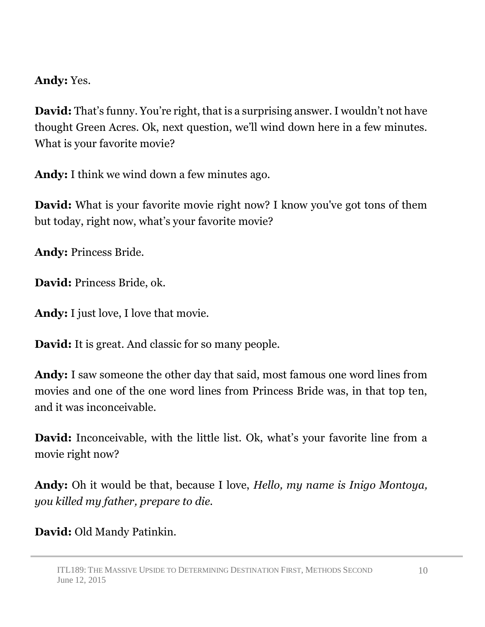## **Andy:** Yes.

**David:** That's funny. You're right, that is a surprising answer. I wouldn't not have thought Green Acres. Ok, next question, we'll wind down here in a few minutes. What is your favorite movie?

**Andy:** I think we wind down a few minutes ago.

**David:** What is your favorite movie right now? I know you've got tons of them but today, right now, what's your favorite movie?

**Andy:** Princess Bride.

**David:** Princess Bride, ok.

**Andy:** I just love, I love that movie.

**David:** It is great. And classic for so many people.

**Andy:** I saw someone the other day that said, most famous one word lines from movies and one of the one word lines from Princess Bride was, in that top ten, and it was inconceivable.

**David:** Inconceivable, with the little list. Ok, what's your favorite line from a movie right now?

**Andy:** Oh it would be that, because I love, *Hello, my name is Inigo Montoya, you killed my father, prepare to die.*

**David:** Old Mandy Patinkin.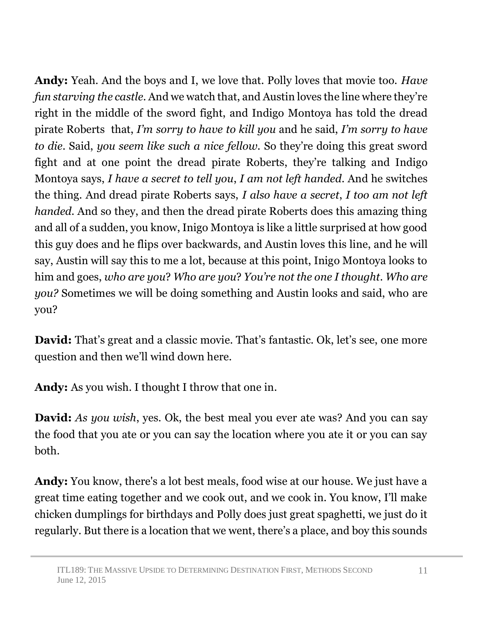**Andy:** Yeah. And the boys and I, we love that. Polly loves that movie too. *Have fun starving the castle*. And we watch that, and Austin loves the line where they're right in the middle of the sword fight, and Indigo Montoya has told the dread pirate Roberts that, *I'm sorry to have to kill you* and he said, *I'm sorry to have to die*. Said, *you seem like such a nice fellow.* So they're doing this great sword fight and at one point the dread pirate Roberts, they're talking and Indigo Montoya says, *I have a secret to tell you*, *I am not left handed*. And he switches the thing. And dread pirate Roberts says, *I also have a secret*, *I too am not left handed*. And so they, and then the dread pirate Roberts does this amazing thing and all of a sudden, you know, Inigo Montoya is like a little surprised at how good this guy does and he flips over backwards, and Austin loves this line, and he will say, Austin will say this to me a lot, because at this point, Inigo Montoya looks to him and goes, *who are you*? *Who are you*? *You're not the one I thought*. *Who are you?* Sometimes we will be doing something and Austin looks and said, who are you?

**David:** That's great and a classic movie. That's fantastic. Ok, let's see, one more question and then we'll wind down here.

**Andy:** As you wish. I thought I throw that one in.

**David:** *As you wish*, yes. Ok, the best meal you ever ate was? And you can say the food that you ate or you can say the location where you ate it or you can say both.

**Andy:** You know, there's a lot best meals, food wise at our house. We just have a great time eating together and we cook out, and we cook in. You know, I'll make chicken dumplings for birthdays and Polly does just great spaghetti, we just do it regularly. But there is a location that we went, there's a place, and boy this sounds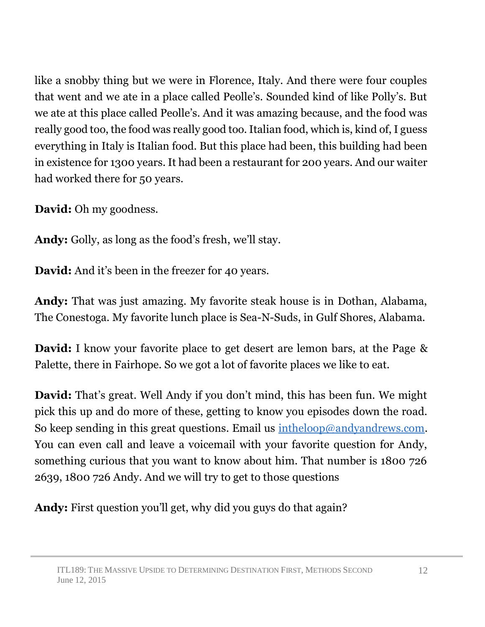like a snobby thing but we were in Florence, Italy. And there were four couples that went and we ate in a place called Peolle's. Sounded kind of like Polly's. But we ate at this place called Peolle's. And it was amazing because, and the food was really good too, the food was really good too. Italian food, which is, kind of, I guess everything in Italy is Italian food. But this place had been, this building had been in existence for 1300 years. It had been a restaurant for 200 years. And our waiter had worked there for 50 years.

**David:** Oh my goodness.

**Andy:** Golly, as long as the food's fresh, we'll stay.

**David:** And it's been in the freezer for 40 years.

**Andy:** That was just amazing. My favorite steak house is in Dothan, Alabama, The Conestoga. My favorite lunch place is Sea-N-Suds, in Gulf Shores, Alabama.

**David:** I know your favorite place to get desert are lemon bars, at the Page & Palette, there in Fairhope. So we got a lot of favorite places we like to eat.

**David:** That's great. Well Andy if you don't mind, this has been fun. We might pick this up and do more of these, getting to know you episodes down the road. So keep sending in this great questions. Email us [intheloop@andyandrews.com.](mailto:intheloop@andyandrews.com) You can even call and leave a voicemail with your favorite question for Andy, something curious that you want to know about him. That number is 1800 726 2639, 1800 726 Andy. And we will try to get to those questions

**Andy:** First question you'll get, why did you guys do that again?